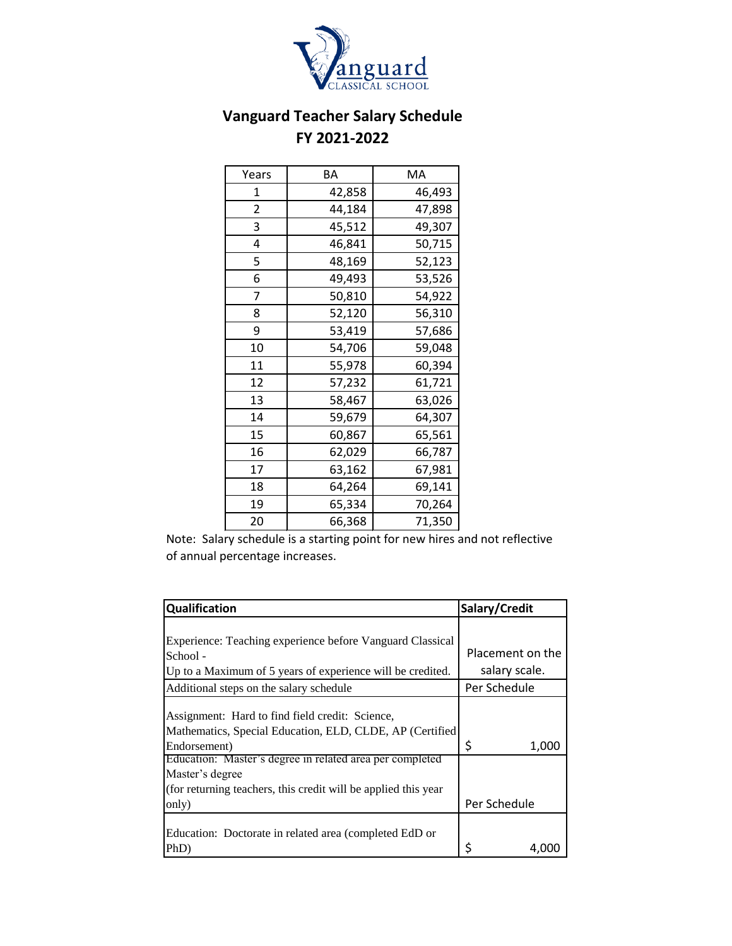

## **Vanguard Teacher Salary Schedule FY 2021-2022**

| Years | ΒA     | МA     |
|-------|--------|--------|
| 1     | 42,858 | 46,493 |
| 2     | 44,184 | 47,898 |
| 3     | 45,512 | 49,307 |
| 4     | 46,841 | 50,715 |
| 5     | 48,169 | 52,123 |
| 6     | 49,493 | 53,526 |
| 7     | 50,810 | 54,922 |
| 8     | 52,120 | 56,310 |
| 9     | 53,419 | 57,686 |
| 10    | 54,706 | 59,048 |
| 11    | 55,978 | 60,394 |
| 12    | 57,232 | 61,721 |
| 13    | 58,467 | 63,026 |
| 14    | 59,679 | 64,307 |
| 15    | 60,867 | 65,561 |
| 16    | 62,029 | 66,787 |
| 17    | 63,162 | 67,981 |
| 18    | 64,264 | 69,141 |
| 19    | 65,334 | 70,264 |
| 20    | 66,368 | 71,350 |

Note: Salary schedule is a starting point for new hires and not reflective of annual percentage increases.

| Qualification                                                   | Salary/Credit    |
|-----------------------------------------------------------------|------------------|
|                                                                 |                  |
| Experience: Teaching experience before Vanguard Classical       |                  |
| School -                                                        | Placement on the |
| Up to a Maximum of 5 years of experience will be credited.      | salary scale.    |
| Additional steps on the salary schedule                         | Per Schedule     |
|                                                                 |                  |
| Assignment: Hard to find field credit: Science,                 |                  |
| Mathematics, Special Education, ELD, CLDE, AP (Certified        |                  |
| Endorsement)                                                    | \$<br>1,000      |
| Education: Master's degree in related area per completed        |                  |
| Master's degree                                                 |                  |
| (for returning teachers, this credit will be applied this year) |                  |
| only)                                                           | Per Schedule     |
|                                                                 |                  |
| Education: Doctorate in related area (completed EdD or          |                  |
| PhD)                                                            | Ś                |